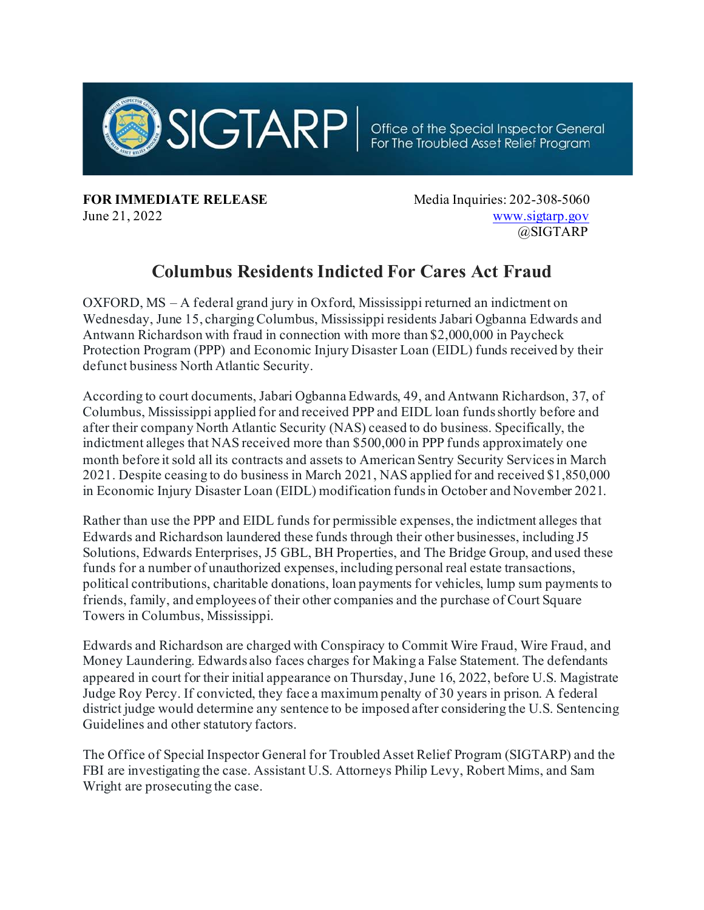

**FOR IMMEDIATE RELEASE** Media Inquiries: 202-308-5060 June 21, 2022 [www.sigtarp.gov](http://www.sigtarp.gov/)

@SIGTARP

## **Columbus Residents Indicted For Cares Act Fraud**

OXFORD, MS – A federal grand jury in Oxford, Mississippi returned an indictment on Wednesday, June 15, charging Columbus, Mississippi residents Jabari Ogbanna Edwards and Antwann Richardson with fraud in connection with more than \$2,000,000 in Paycheck Protection Program (PPP) and Economic Injury Disaster Loan (EIDL) funds received by their defunct business North Atlantic Security.

According to court documents, Jabari Ogbanna Edwards, 49, and Antwann Richardson, 37, of Columbus, Mississippi applied for and received PPP and EIDL loan funds shortly before and after their company North Atlantic Security (NAS) ceased to do business. Specifically, the indictment alleges that NAS received more than \$500,000 in PPP funds approximately one month before it sold all its contracts and assets to American Sentry Security Services in March 2021. Despite ceasing to do business in March 2021, NAS applied for and received \$1,850,000 in Economic Injury Disaster Loan (EIDL) modification funds in October and November 2021.

Rather than use the PPP and EIDL funds for permissible expenses, the indictment alleges that Edwards and Richardson laundered these funds through their other businesses, including J5 Solutions, Edwards Enterprises, J5 GBL, BH Properties, and The Bridge Group, and used these funds for a number of unauthorized expenses, including personal real estate transactions, political contributions, charitable donations, loan payments for vehicles, lump sum payments to friends, family, and employees of their other companies and the purchase of Court Square Towers in Columbus, Mississippi.

Edwards and Richardson are charged with Conspiracy to Commit Wire Fraud, Wire Fraud, and Money Laundering. Edwards also faces charges for Making a False Statement. The defendants appeared in court for their initial appearance on Thursday, June 16, 2022, before U.S. Magistrate Judge Roy Percy. If convicted, they face a maximum penalty of 30 years in prison. A federal district judge would determine any sentence to be imposed after considering the U.S. Sentencing Guidelines and other statutory factors.

The Office of Special Inspector General for Troubled Asset Relief Program (SIGTARP) and the FBI are investigating the case. Assistant U.S. Attorneys Philip Levy, Robert Mims, and Sam Wright are prosecuting the case.